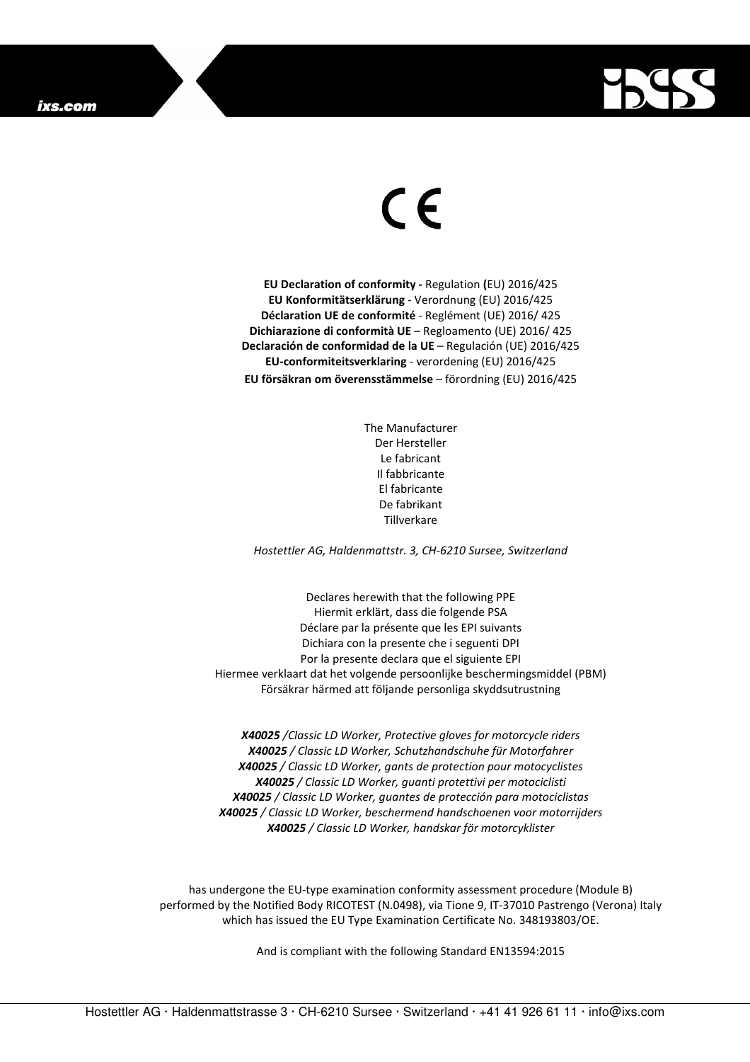

## $\in$

**EU Declaration of conformity -** Regulation **(**EU) 2016/425 **EU Konformitätserklärung** - Verordnung (EU) 2016/425 **Déclaration UE de conformité** - Reglément (UE) 2016/ 425 **Dichiarazione di conformità UE** – Regloamento (UE) 2016/ 425 **Declaración de conformidad de la UE** – Regulación (UE) 2016/425 **EU-conformiteitsverklaring** - verordening (EU) 2016/425 **EU försäkran om överensstämmelse** – förordning (EU) 2016/425

> The Manufacturer Der Hersteller Le fabricant Il fabbricante El fabricante De fabrikant Tillverkare

*Hostettler AG, Haldenmattstr. 3, CH-6210 Sursee, Switzerland* 

Declares herewith that the following PPE Hiermit erklärt, dass die folgende PSA Déclare par la présente que les EPI suivants Dichiara con la presente che i seguenti DPI Por la presente declara que el siguiente EPI Hiermee verklaart dat het volgende persoonlijke beschermingsmiddel (PBM) Försäkrar härmed att följande personliga skyddsutrustning

*X40025 /Classic LD Worker, Protective gloves for motorcycle riders X40025 / Classic LD Worker, Schutzhandschuhe für Motorfahrer X40025 / Classic LD Worker, gants de protection pour motocyclistes X40025 / Classic LD Worker, guanti protettivi per motociclisti X40025 / Classic LD Worker, guantes de protección para motociclistas X40025 / Classic LD Worker, beschermend handschoenen voor motorrijders X40025 / Classic LD Worker, handskar för motorcyklister* 

has undergone the EU-type examination conformity assessment procedure (Module B) performed by the Notified Body RICOTEST (N.0498), via Tione 9, IT-37010 Pastrengo (Verona) Italy which has issued the EU Type Examination Certificate No. 348193803/OE.

And is compliant with the following Standard EN13594:2015